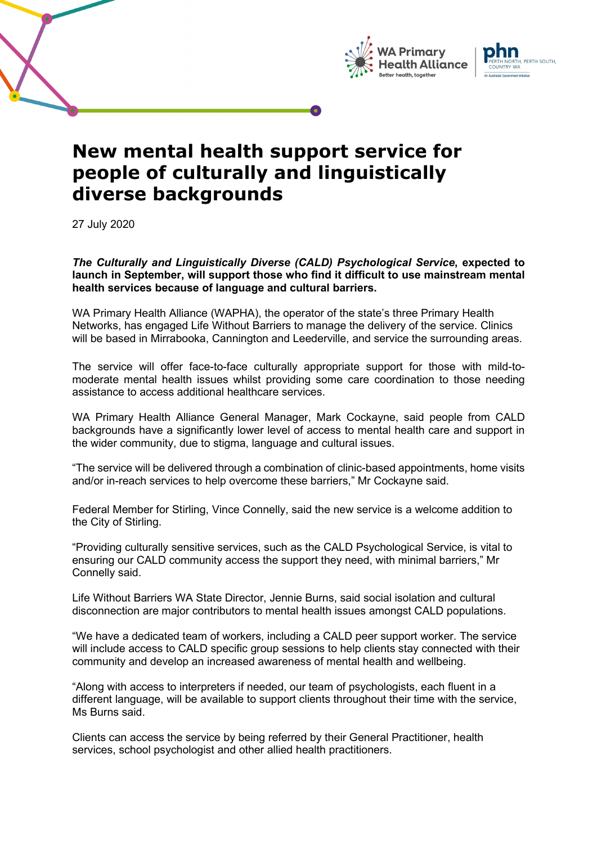





## **New mental health support service for people of culturally and linguistically diverse backgrounds**

27 July 2020

*The Culturally and Linguistically Diverse (CALD) Psychological Service***, expected to launch in September, will support those who find it difficult to use mainstream mental health services because of language and cultural barriers.**

WA Primary Health Alliance (WAPHA), the operator of the state's three Primary Health Networks, has engaged Life Without Barriers to manage the delivery of the service. Clinics will be based in Mirrabooka, Cannington and Leederville, and service the surrounding areas.

The service will offer face-to-face culturally appropriate support for those with mild-tomoderate mental health issues whilst providing some care coordination to those needing assistance to access additional healthcare services.

WA Primary Health Alliance General Manager, Mark Cockayne, said people from CALD backgrounds have a significantly lower level of access to mental health care and support in the wider community, due to stigma, language and cultural issues.

"The service will be delivered through a combination of clinic-based appointments, home visits and/or in-reach services to help overcome these barriers," Mr Cockayne said.

Federal Member for Stirling, Vince Connelly, said the new service is a welcome addition to the City of Stirling.

"Providing culturally sensitive services, such as the CALD Psychological Service, is vital to ensuring our CALD community access the support they need, with minimal barriers," Mr Connelly said.

Life Without Barriers WA State Director, Jennie Burns, said social isolation and cultural disconnection are major contributors to mental health issues amongst CALD populations.

"We have a dedicated team of workers, including a CALD peer support worker. The service will include access to CALD specific group sessions to help clients stay connected with their community and develop an increased awareness of mental health and wellbeing.

"Along with access to interpreters if needed, our team of psychologists, each fluent in a different language, will be available to support clients throughout their time with the service, Ms Burns said.

Clients can access the service by being referred by their General Practitioner, health services, school psychologist and other allied health practitioners.